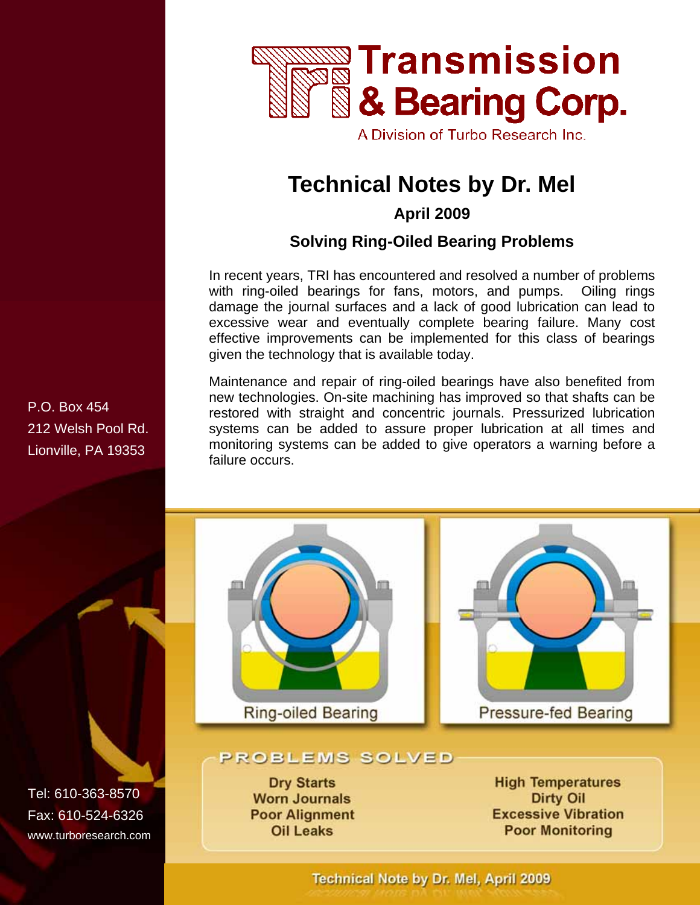

A Division of Turbo Research Inc.

# **Technical Notes by Dr. Mel**

**April 2009** 

#### **Solving Ring-Oiled Bearing Problems**

In recent years, TRI has encountered and resolved a number of problems with ring-oiled bearings for fans, motors, and pumps. Oiling rings damage the journal surfaces and a lack of good lubrication can lead to excessive wear and eventually complete bearing failure. Many cost effective improvements can be implemented for this class of bearings given the technology that is available today.

Maintenance and repair of ring-oiled bearings have also benefited from new technologies. On-site machining has improved so that shafts can be restored with straight and concentric journals. Pressurized lubrication systems can be added to assure proper lubrication at all times and monitoring systems can be added to give operators a warning before a failure occurs.



#### PROBLEMS SOLVED

**Dry Starts Worn Journals Poor Alignment Oil Leaks** 

**High Temperatures Dirty Oil Excessive Vibration Poor Monitoring** 

P.O. Box 454 212 Welsh Pool Rd. Lionville, PA 19353

Tel: 610-363-8570 Fax: 610-524-6326 www.turboresearch.com

Technical Note by Dr. Mel, April 2009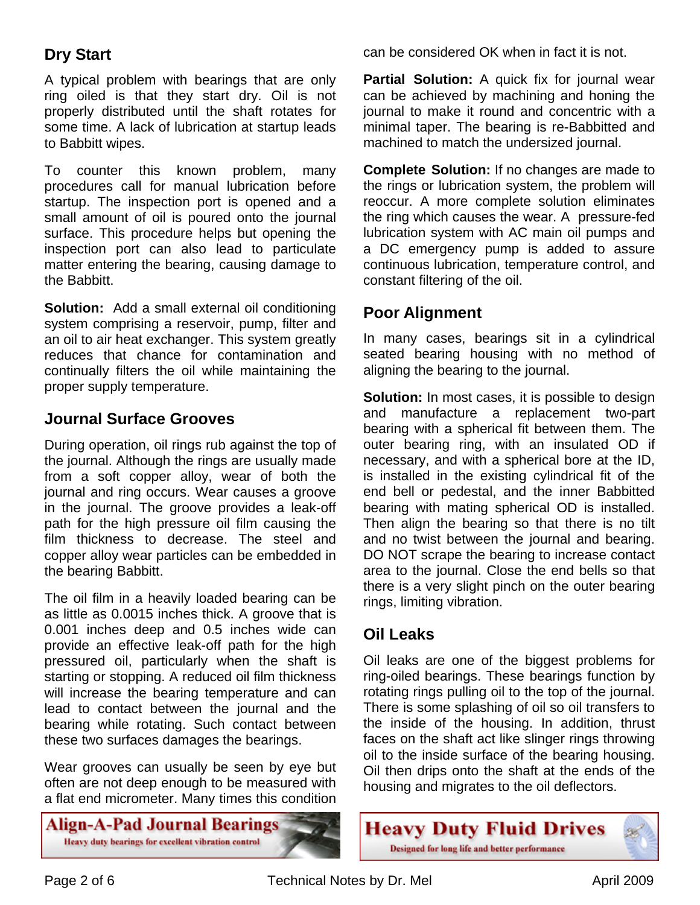### **Dry Start**

A typical problem with bearings that are only ring oiled is that they start dry. Oil is not properly distributed until the shaft rotates for some time. A lack of lubrication at startup leads to Babbitt wipes.

To counter this known problem, many procedures call for manual lubrication before startup. The inspection port is opened and a small amount of oil is poured onto the journal surface. This procedure helps but opening the inspection port can also lead to particulate matter entering the bearing, causing damage to the Babbitt.

**Solution:** Add a small external oil conditioning system comprising a reservoir, pump, filter and an oil to air heat exchanger. This system greatly reduces that chance for contamination and continually filters the oil while maintaining the proper supply temperature.

#### **Journal Surface Grooves**

During operation, oil rings rub against the top of the journal. Although the rings are usually made from a soft copper alloy, wear of both the journal and ring occurs. Wear causes a groove in the journal. The groove provides a leak-off path for the high pressure oil film causing the film thickness to decrease. The steel and copper alloy wear particles can be embedded in the bearing Babbitt.

The oil film in a heavily loaded bearing can be as little as 0.0015 inches thick. A groove that is 0.001 inches deep and 0.5 inches wide can provide an effective leak-off path for the high pressured oil, particularly when the shaft is starting or stopping. A reduced oil film thickness will increase the bearing temperature and can lead to contact between the journal and the bearing while rotating. Such contact between these two surfaces damages the bearings.

Wear grooves can usually be seen by eye but often are not deep enough to be measured with a flat end micrometer. Many times this condition

Align-A-Pad Journal Bearings Heavy duty bearings for excellent vibration control

can be considered OK when in fact it is not.

**Partial Solution:** A quick fix for journal wear can be achieved by machining and honing the journal to make it round and concentric with a minimal taper. The bearing is re-Babbitted and machined to match the undersized journal.

**Complete Solution:** If no changes are made to the rings or lubrication system, the problem will reoccur. A more complete solution eliminates the ring which causes the wear. A pressure-fed lubrication system with AC main oil pumps and a DC emergency pump is added to assure continuous lubrication, temperature control, and constant filtering of the oil.

#### **Poor Alignment**

In many cases, bearings sit in a cylindrical seated bearing housing with no method of aligning the bearing to the journal.

**Solution:** In most cases, it is possible to design and manufacture a replacement two-part bearing with a spherical fit between them. The outer bearing ring, with an insulated OD if necessary, and with a spherical bore at the ID, is installed in the existing cylindrical fit of the end bell or pedestal, and the inner Babbitted bearing with mating spherical OD is installed. Then align the bearing so that there is no tilt and no twist between the journal and bearing. DO NOT scrape the bearing to increase contact area to the journal. Close the end bells so that there is a very slight pinch on the outer bearing rings, limiting vibration.

#### **Oil Leaks**

Oil leaks are one of the biggest problems for ring-oiled bearings. These bearings function by rotating rings pulling oil to the top of the journal. There is some splashing of oil so oil transfers to the inside of the housing. In addition, thrust faces on the shaft act like slinger rings throwing oil to the inside surface of the bearing housing. Oil then drips onto the shaft at the ends of the housing and migrates to the oil deflectors.

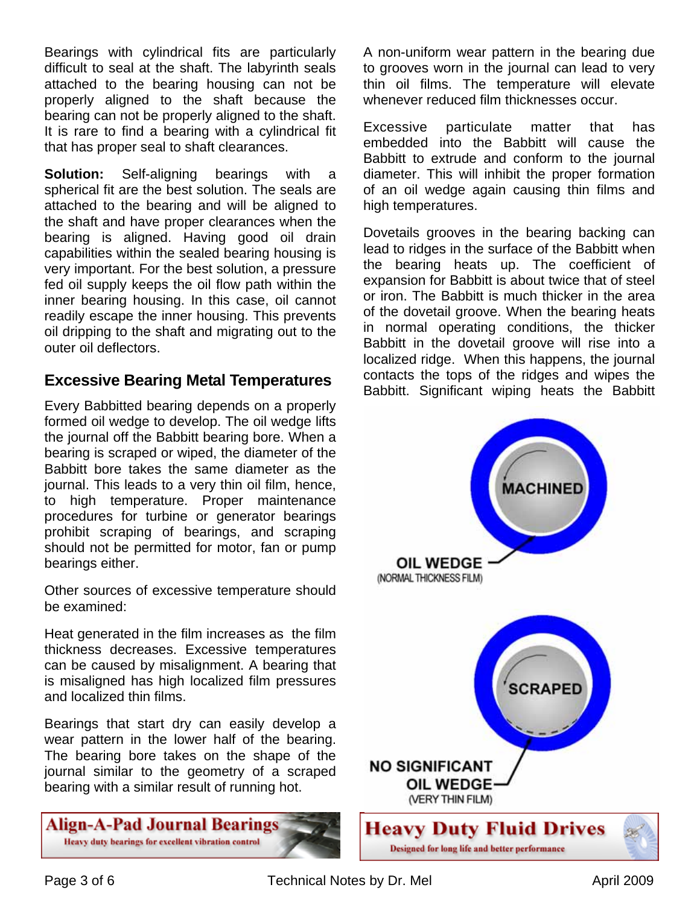Bearings with cylindrical fits are particularly difficult to seal at the shaft. The labyrinth seals attached to the bearing housing can not be properly aligned to the shaft because the bearing can not be properly aligned to the shaft. It is rare to find a bearing with a cylindrical fit that has proper seal to shaft clearances.

**Solution:** Self-aligning bearings with a spherical fit are the best solution. The seals are attached to the bearing and will be aligned to the shaft and have proper clearances when the bearing is aligned. Having good oil drain capabilities within the sealed bearing housing is very important. For the best solution, a pressure fed oil supply keeps the oil flow path within the inner bearing housing. In this case, oil cannot readily escape the inner housing. This prevents oil dripping to the shaft and migrating out to the outer oil deflectors.

#### **Excessive Bearing Metal Temperatures**

Every Babbitted bearing depends on a properly formed oil wedge to develop. The oil wedge lifts the journal off the Babbitt bearing bore. When a bearing is scraped or wiped, the diameter of the Babbitt bore takes the same diameter as the journal. This leads to a very thin oil film, hence, to high temperature. Proper maintenance procedures for turbine or generator bearings prohibit scraping of bearings, and scraping should not be permitted for motor, fan or pump bearings either.

Other sources of excessive temperature should be examined:

Heat generated in the film increases as the film thickness decreases. Excessive temperatures can be caused by misalignment. A bearing that is misaligned has high localized film pressures and localized thin films.

Bearings that start dry can easily develop a wear pattern in the lower half of the bearing. The bearing bore takes on the shape of the journal similar to the geometry of a scraped bearing with a similar result of running hot.



A non-uniform wear pattern in the bearing due to grooves worn in the journal can lead to very thin oil films. The temperature will elevate whenever reduced film thicknesses occur.

Excessive particulate matter that has embedded into the Babbitt will cause the Babbitt to extrude and conform to the journal diameter. This will inhibit the proper formation of an oil wedge again causing thin films and high temperatures.

Dovetails grooves in the bearing backing can lead to ridges in the surface of the Babbitt when the bearing heats up. The coefficient of expansion for Babbitt is about twice that of steel or iron. The Babbitt is much thicker in the area of the dovetail groove. When the bearing heats in normal operating conditions, the thicker Babbitt in the dovetail groove will rise into a localized ridge. When this happens, the journal contacts the tops of the ridges and wipes the Babbitt. Significant wiping heats the Babbitt

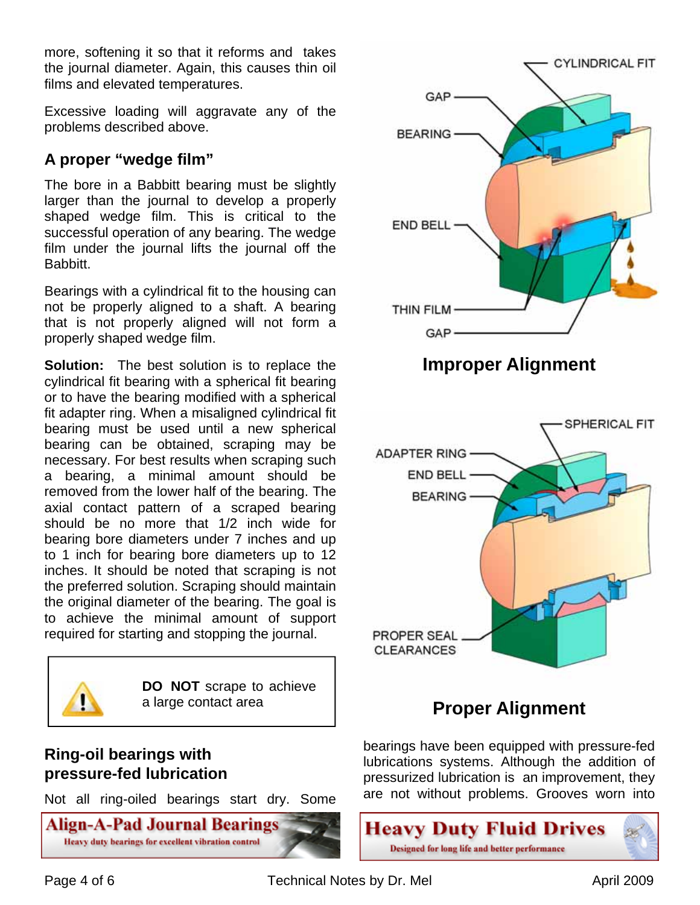more, softening it so that it reforms and takes the journal diameter. Again, this causes thin oil films and elevated temperatures.

Excessive loading will aggravate any of the problems described above.

## **A proper "wedge film"**

The bore in a Babbitt bearing must be slightly larger than the journal to develop a properly shaped wedge film. This is critical to the successful operation of any bearing. The wedge film under the journal lifts the journal off the Babbitt.

Bearings with a cylindrical fit to the housing can not be properly aligned to a shaft. A bearing that is not properly aligned will not form a properly shaped wedge film.

**Solution:** The best solution is to replace the cylindrical fit bearing with a spherical fit bearing or to have the bearing modified with a spherical fit adapter ring. When a misaligned cylindrical fit bearing must be used until a new spherical bearing can be obtained, scraping may be necessary. For best results when scraping such a bearing, a minimal amount should be removed from the lower half of the bearing. The axial contact pattern of a scraped bearing should be no more that 1/2 inch wide for bearing bore diameters under 7 inches and up to 1 inch for bearing bore diameters up to 12 inches. It should be noted that scraping is not the preferred solution. Scraping should maintain the original diameter of the bearing. The goal is to achieve the minimal amount of support required for starting and stopping the journal.



**DO NOT** scrape to achieve a large contact area

### **Ring-oil bearings with pressure-fed lubrication**

Not all ring-oiled bearings start dry. Some





# **Proper Alignment**

bearings have been equipped with pressure-fed lubrications systems. Although the addition of pressurized lubrication is an improvement, they are not without problems. Grooves worn into

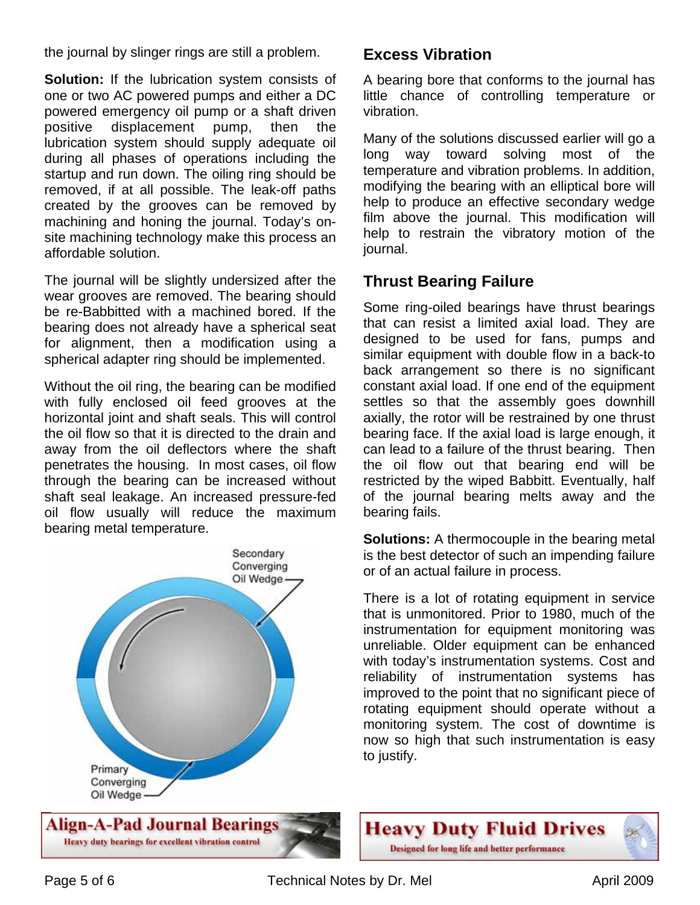the journal by slinger rings are still a problem.

**Solution:** If the lubrication system consists of one or two AC powered pumps and either a DC powered emergency oil pump or a shaft driven positive displacement pump, then the lubrication system should supply adequate oil during all phases of operations including the startup and run down. The oiling ring should be removed, if at all possible. The leak-off paths created by the grooves can be removed by machining and honing the journal. Today's onsite machining technology make this process an affordable solution.

The journal will be slightly undersized after the wear grooves are removed. The bearing should be re-Babbitted with a machined bored. If the bearing does not already have a spherical seat for alignment, then a modification using a spherical adapter ring should be implemented.

Without the oil ring, the bearing can be modified with fully enclosed oil feed grooves at the horizontal joint and shaft seals. This will control the oil flow so that it is directed to the drain and away from the oil deflectors where the shaft penetrates the housing. In most cases, oil flow through the bearing can be increased without shaft seal leakage. An increased pressure-fed oil flow usually will reduce the maximum bearing metal temperature.



#### **Excess Vibration**

A bearing bore that conforms to the journal has little chance of controlling temperature or vibration.

Many of the solutions discussed earlier will go a long way toward solving most of the temperature and vibration problems. In addition, modifying the bearing with an elliptical bore will help to produce an effective secondary wedge film above the journal. This modification will help to restrain the vibratory motion of the journal.

#### **Thrust Bearing Failure**

Some ring-oiled bearings have thrust bearings that can resist a limited axial load. They are designed to be used for fans, pumps and similar equipment with double flow in a back-to back arrangement so there is no significant constant axial load. If one end of the equipment settles so that the assembly goes downhill axially, the rotor will be restrained by one thrust bearing face. If the axial load is large enough, it can lead to a failure of the thrust bearing. Then the oil flow out that bearing end will be restricted by the wiped Babbitt. Eventually, half of the journal bearing melts away and the bearing fails.

**Solutions:** A thermocouple in the bearing metal is the best detector of such an impending failure or of an actual failure in process.

There is a lot of rotating equipment in service that is unmonitored. Prior to 1980, much of the instrumentation for equipment monitoring was unreliable. Older equipment can be enhanced with today's instrumentation systems. Cost and reliability of instrumentation systems has improved to the point that no significant piece of rotating equipment should operate without a monitoring system. The cost of downtime is now so high that such instrumentation is easy to justify.



Page 5 of 6 Technical Notes by Dr. Mel **April 2009**